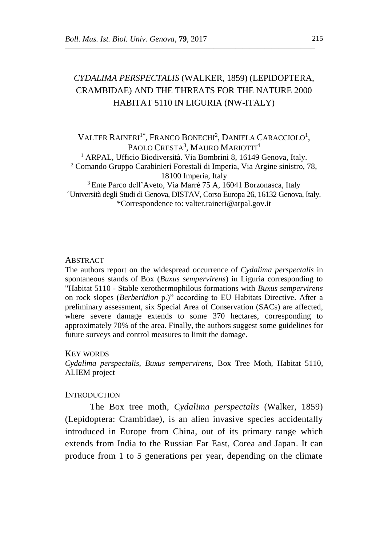# *CYDALIMA PERSPECTALIS* (WALKER, 1859) (LEPIDOPTERA, CRAMBIDAE) AND THE THREATS FOR THE NATURE 2000 HABITAT 5110 IN LIGURIA (NW-ITALY)

 $\overline{\phantom{a}}$  , and the contract of the contract of  $\overline{\phantom{a}}$ 

VALTER RAINERI<sup>1\*</sup>, Franco Bonechi<sup>2</sup>, Daniela Caracciolo<sup>1</sup>, PAOLO CRESTA<sup>3</sup>, MAURO MARIOTTI<sup>4</sup> <sup>1</sup> ARPAL, Ufficio Biodiversità. Via Bombrini 8, 16149 Genova, Italy. <sup>2</sup> Comando Gruppo Carabinieri Forestali di Imperia, Via Argine sinistro, 78, 18100 Imperia, Italy <sup>3</sup>Ente Parco dell'Aveto, Via Marré 75 A, 16041 Borzonasca, Italy <sup>4</sup>Università degli Studi di Genova, DISTAV, Corso Europa 26, 16132 Genova, Italy. \*Correspondence to: valter.raineri@arpal.gov.it

## **ABSTRACT**

The authors report on the widespread occurrence of *Cydalima perspectalis* in spontaneous stands of Box (*Buxus sempervirens*) in Liguria corresponding to "Habitat 5110 - Stable xerothermophilous formations with *Buxus sempervirens* on rock slopes (*Berberidion* p.)" according to EU Habitats Directive. After a preliminary assessment, six Special Area of Conservation (SACs) are affected, where severe damage extends to some 370 hectares, corresponding to approximately 70% of the area. Finally, the authors suggest some guidelines for future surveys and control measures to limit the damage.

### KEY WORDS

*Cydalima perspectalis*, *Buxus sempervirens*, Box Tree Moth, Habitat 5110, ALIEM project

### **INTRODUCTION**

The Box tree moth, *Cydalima perspectalis* (Walker, 1859) (Lepidoptera: Crambidae), is an alien invasive species accidentally introduced in Europe from China, out of its primary range which extends from India to the Russian Far East, Corea and Japan. It can produce from 1 to 5 generations per year, depending on the climate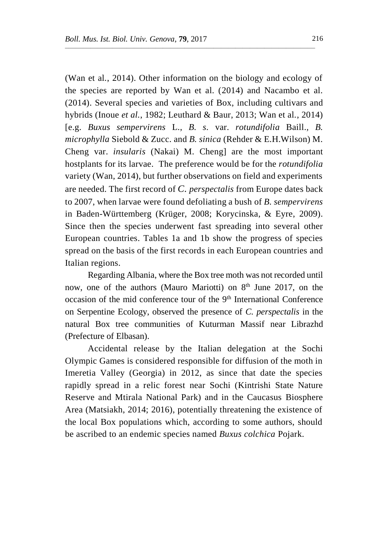(Wan et al*.*, 2014). Other information on the biology and ecology of the species are reported by Wan et al. (2014) and Nacambo et al. (2014). Several species and varieties of Box, including cultivars and hybrids (Inoue *et al.*, 1982; Leuthard & Baur, 2013; Wan et al*.*, 2014) [e.g. *Buxus sempervirens* L., *B. s.* var. *rotundifolia* Baill.*, B. microphylla* Siebold & Zucc. and *B. sinica* (Rehder & E.H.Wilson) M. Cheng var. *insularis* (Nakai) M. Cheng] are the most important hostplants for its larvae. The preference would be for the *rotundifolia* variety (Wan, 2014), but further observations on field and experiments are needed. The first record of *C. perspectalis* from Europe dates back to 2007, when larvae were found defoliating a bush of *B. sempervirens* in Baden-Württemberg (Krüger, 2008; Korycinska, & Eyre, 2009). Since then the species underwent fast spreading into several other European countries. Tables 1a and 1b show the progress of species spread on the basis of the first records in each European countries and Italian regions.

 $\overline{\phantom{a}}$  , and the contract of the contract of  $\overline{\phantom{a}}$ 

Regarding Albania, where the Box tree moth was not recorded until now, one of the authors (Mauro Mariotti) on 8<sup>th</sup> June 2017, on the occasion of the mid conference tour of the 9<sup>th</sup> International Conference on Serpentine Ecology, observed the presence of *C. perspectalis* in the natural Box tree communities of Kuturman Massif near Librazhd (Prefecture of Elbasan).

Accidental release by the Italian delegation at the Sochi Olympic Games is considered responsible for diffusion of the moth in Imeretia Valley (Georgia) in 2012, as since that date the species rapidly spread in a relic forest near Sochi (Kintrishi State Nature Reserve and Mtirala National Park) and in the Caucasus Biosphere Area (Matsiakh, 2014; 2016), potentially threatening the existence of the local Box populations which, according to some authors, should be ascribed to an endemic species named *Buxus colchica* Pojark.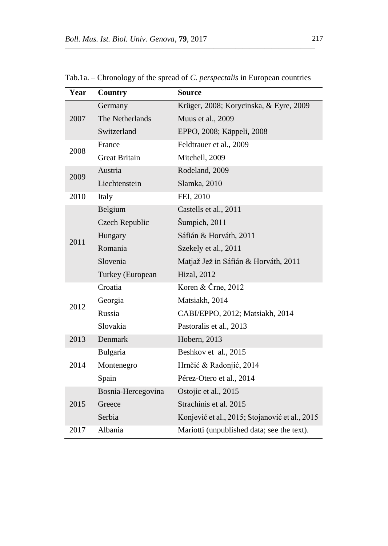| Year | <b>Country</b>       | <b>Source</b>                                  |  |  |
|------|----------------------|------------------------------------------------|--|--|
|      | Germany              | Krüger, 2008; Korycinska, & Eyre, 2009         |  |  |
| 2007 | The Netherlands      | Muus et al., 2009                              |  |  |
|      | Switzerland          | EPPO, 2008; Käppeli, 2008                      |  |  |
| 2008 | France               | Feldtrauer et al., 2009                        |  |  |
|      | <b>Great Britain</b> | Mitchell, 2009                                 |  |  |
| 2009 | Austria              | Rodeland, 2009                                 |  |  |
|      | Liechtenstein        | Slamka, 2010                                   |  |  |
| 2010 | Italy                | FEI, 2010                                      |  |  |
|      | Belgium              | Castells et al., 2011                          |  |  |
|      | Czech Republic       | Šumpich, 2011                                  |  |  |
|      | Hungary              | Sáfián & Horváth, 2011                         |  |  |
| 2011 | Romania              | Szekely et al., 2011                           |  |  |
|      | Slovenia             | Matjaž Jež in Sáfián & Horváth, 2011           |  |  |
|      | Turkey (European     | <b>Hizal</b> , 2012                            |  |  |
|      | Croatia              | Koren & Črne, 2012                             |  |  |
| 2012 | Georgia              | Matsiakh, 2014                                 |  |  |
|      | Russia               | CABI/EPPO, 2012; Matsiakh, 2014                |  |  |
|      | Slovakia             | Pastoralis et al., 2013                        |  |  |
| 2013 | <b>Denmark</b>       | Hobern, 2013                                   |  |  |
| 2014 | Bulgaria             | Beshkov et al., 2015                           |  |  |
|      | Montenegro           | Hrnčić & Radonjić, 2014                        |  |  |
|      | Spain                | Pérez-Otero et al., 2014                       |  |  |
|      | Bosnia-Hercegovina   | Ostojic et al., 2015                           |  |  |
| 2015 | Greece               | Strachinis et al. 2015                         |  |  |
|      | Serbia               | Konjević et al., 2015; Stojanović et al., 2015 |  |  |
| 2017 | Albania              | Mariotti (unpublished data; see the text).     |  |  |

Tab.1a. – Chronology of the spread of *C. perspectalis* in European countries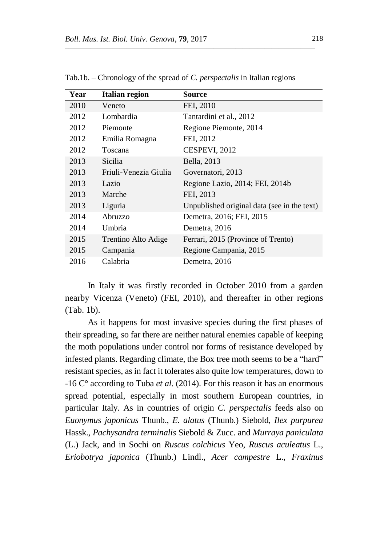| Year | Italian region        | Source                                      |
|------|-----------------------|---------------------------------------------|
| 2010 | Veneto                | FEI, 2010                                   |
| 2012 | Lombardia             | Tantardini et al., 2012                     |
| 2012 | Piemonte              | Regione Piemonte, 2014                      |
| 2012 | Emilia Romagna        | FEI, 2012                                   |
| 2012 | Toscana               | CESPEVI, 2012                               |
| 2013 | <b>Sicilia</b>        | Bella, 2013                                 |
| 2013 | Friuli-Venezia Giulia | Governatori, 2013                           |
| 2013 | Lazio                 | Regione Lazio, 2014; FEI, 2014b             |
| 2013 | Marche                | FEI, 2013                                   |
| 2013 | Liguria               | Unpublished original data (see in the text) |
| 2014 | Abruzzo               | Demetra, 2016; FEI, 2015                    |
| 2014 | Umbria                | Demetra, 2016                               |
| 2015 | Trentino Alto Adige   | Ferrari, 2015 (Province of Trento)          |
| 2015 | Campania              | Regione Campania, 2015                      |
| 2016 | Calabria              | Demetra, 2016                               |

Tab.1b. – Chronology of the spread of *C. perspectalis* in Italian regions

In Italy it was firstly recorded in October 2010 from a garden nearby Vicenza (Veneto) (FEI, 2010), and thereafter in other regions (Tab. 1b).

As it happens for most invasive species during the first phases of their spreading, so far there are neither natural enemies capable of keeping the moth populations under control nor forms of resistance developed by infested plants. Regarding climate, the Box tree moth seems to be a "hard" resistant species, as in fact it tolerates also quite low temperatures, down to -16 C° according to Tuba *et al*. (2014). For this reason it has an enormous spread potential, especially in most southern European countries, in particular Italy. As in countries of origin *C. perspectalis* feeds also on *Euonymus japonicus* Thunb., *E. alatus* (Thunb.) Siebold, *Ilex purpurea* Hassk., *Pachysandra terminalis* Siebold & Zucc. and *Murraya paniculata* (L.) Jack, and in Sochi on *Ruscus colchicus* Yeo, *Ruscus aculeatus* L., *Eriobotrya japonica* (Thunb.) Lindl., *Acer campestre* L., *Fraxinus*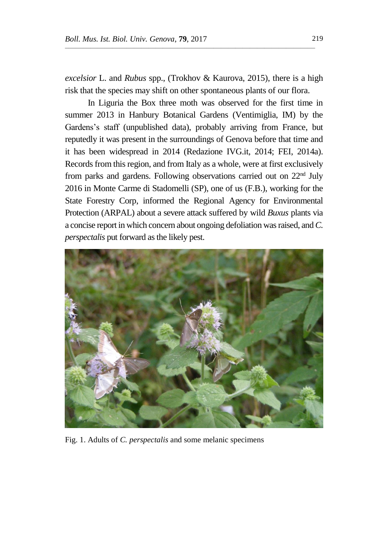*excelsior* L. and *Rubus* spp., (Trokhov & Kaurova, 2015), there is a high risk that the species may shift on other spontaneous plants of our flora.

 $\overline{\phantom{a}}$  , and the contract of the contract of  $\overline{\phantom{a}}$ 

In Liguria the Box three moth was observed for the first time in summer 2013 in Hanbury Botanical Gardens (Ventimiglia, IM) by the Gardens's staff (unpublished data), probably arriving from France, but reputedly it was present in the surroundings of Genova before that time and it has been widespread in 2014 (Redazione IVG.it, 2014; FEI, 2014a). Records from this region, and from Italy as a whole, were at first exclusively from parks and gardens. Following observations carried out on 22nd July 2016 in Monte Carme di Stadomelli (SP), one of us (F.B.), working for the State Forestry Corp, informed the Regional Agency for Environmental Protection (ARPAL) about a severe attack suffered by wild *Buxus* plants via a concise report in which concern about ongoing defoliation was raised, and *C. perspectalis* put forward as the likely pest*.*



Fig. 1. Adults of *C. perspectalis* and some melanic specimens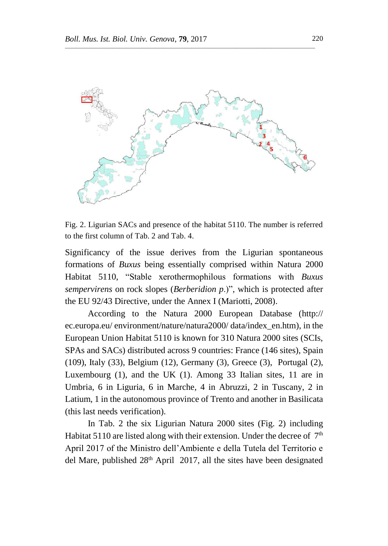

Fig. 2. Ligurian SACs and presence of the habitat 5110. The number is referred to the first column of Tab. 2 and Tab. 4.

Significancy of the issue derives from the Ligurian spontaneous formations of *Buxus* being essentially comprised within Natura 2000 Habitat 5110, "Stable xerothermophilous formations with *Buxus sempervirens* on rock slopes (*Berberidion p*.)", which is protected after the EU 92/43 Directive, under the Annex I (Mariotti, 2008).

According to the Natura 2000 European Database (http:// ec.europa.eu/ environment/nature/natura2000/ data/index\_en.htm), in the European Union Habitat 5110 is known for 310 Natura 2000 sites (SCIs, SPAs and SACs) distributed across 9 countries: France (146 sites), Spain (109), Italy (33), Belgium (12), Germany (3), Greece (3), Portugal (2), Luxembourg (1), and the UK (1). Among 33 Italian sites, 11 are in Umbria, 6 in Liguria, 6 in Marche, 4 in Abruzzi, 2 in Tuscany, 2 in Latium, 1 in the autonomous province of Trento and another in Basilicata (this last needs verification).

In Tab. 2 the six Ligurian Natura 2000 sites (Fig. 2) including Habitat 5110 are listed along with their extension. Under the decree of  $7<sup>th</sup>$ April 2017 of the Ministro dell'Ambiente e della Tutela del Territorio e del Mare, published 28<sup>th</sup> April 2017, all the sites have been designated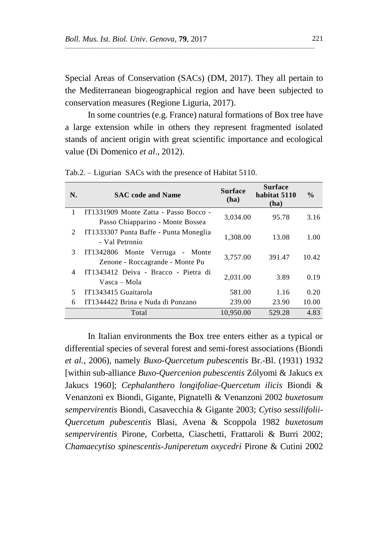Special Areas of Conservation (SACs) (DM, 2017). They all pertain to the Mediterranean biogeographical region and have been subjected to conservation measures (Regione Liguria, 2017).

 $\overline{\phantom{a}}$  , and the contract of the contract of  $\overline{\phantom{a}}$ 

In some countries (e.g. France) natural formations of Box tree have a large extension while in others they represent fragmented isolated stands of ancient origin with great scientific importance and ecological value (Di Domenico *et al*., 2012).

| N.                            | <b>SAC</b> code and Name               | <b>Surface</b><br>(ha) | <b>Surface</b><br>habitat 5110<br>(ha) | $\frac{0}{0}$ |
|-------------------------------|----------------------------------------|------------------------|----------------------------------------|---------------|
| 1                             | IT1331909 Monte Zatta - Passo Bocco -  | 3,034.00               | 95.78                                  | 3.16          |
|                               | Passo Chiapparino - Monte Bossea       |                        |                                        |               |
| $\mathfrak{D}_{\mathfrak{p}}$ | IT1333307 Punta Baffe - Punta Moneglia | 1,308.00               | 13.08                                  | 1.00          |
|                               | - Val Petronio                         |                        |                                        |               |
| 3                             | IT1342806 Monte Verruga<br>- Monte     | 3,757.00               | 391.47                                 | 10.42         |
|                               | Zenone - Roccagrande - Monte Pu        |                        |                                        |               |
| 4                             | IT1343412 Deiva - Bracco - Pietra di   | 2.031.00               | 3.89                                   | 0.19          |
|                               | Vasca – Mola                           |                        |                                        |               |
| 5                             | IT1343415 Guaitarola                   | 581.00                 | 1.16                                   | 0.20          |
| 6                             | IT1344422 Brina e Nuda di Ponzano      | 239.00                 | 23.90                                  | 10.00         |
|                               | Total                                  | 10.950.00              | 529.28                                 | 4.83          |

Tab.2. – Ligurian SACs with the presence of Habitat 5110.

In Italian environments the Box tree enters either as a typical or differential species of several forest and semi-forest associations (Biondi *et al.*, 2006), namely *Buxo-Quercetum pubescentis* Br.-Bl. (1931) 1932 [within sub-alliance *Buxo-Quercenion pubescentis* Zólyomi & Jakucs ex Jakucs 1960]; *Cephalanthero longifoliae-Quercetum ilicis* Biondi & Venanzoni ex Biondi, Gigante, Pignatelli & Venanzoni 2002 *buxetosum sempervirentis* Biondi, Casavecchia & Gigante 2003; *Cytiso sessilifolii-Quercetum pubescentis* Blasi, Avena & Scoppola 1982 *buxetosum sempervirentis* Pirone, Corbetta, Ciaschetti, Frattaroli & Burri 2002; *Chamaecytiso spinescentis-Juniperetum oxycedri* Pirone & Cutini 2002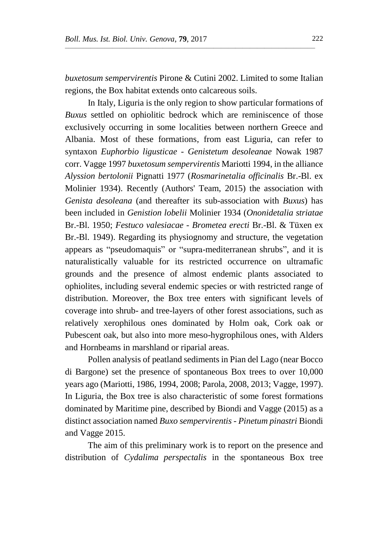*buxetosum sempervirentis* Pirone & Cutini 2002. Limited to some Italian regions, the Box habitat extends onto calcareous soils.

 $\overline{\phantom{a}}$  , and the contract of the contract of  $\overline{\phantom{a}}$ 

In Italy, Liguria is the only region to show particular formations of *Buxus* settled on ophiolitic bedrock which are reminiscence of those exclusively occurring in some localities between northern Greece and Albania. Most of these formations, from east Liguria, can refer to syntaxon *Euphorbio ligusticae - Genistetum desoleanae* Nowak 1987 corr. Vagge 1997 *buxetosum sempervirentis* Mariotti 1994, in the alliance *Alyssion bertolonii* Pignatti 1977 (*Rosmarinetalia officinalis* Br.-Bl. ex Molinier 1934). Recently (Authors' Team, 2015) the association with *Genista desoleana* (and thereafter its sub-association with *Buxus*) has been included in *Genistion lobelii* Molinier 1934 (*Ononidetalia striatae* Br.-Bl. 1950; *Festuco valesiacae - Brometea erecti* Br.-Bl. & Tüxen ex Br.-Bl. 1949). Regarding its physiognomy and structure, the vegetation appears as "pseudomaquis" or "supra-mediterranean shrubs", and it is naturalistically valuable for its restricted occurrence on ultramafic grounds and the presence of almost endemic plants associated to ophiolites, including several endemic species or with restricted range of distribution. Moreover, the Box tree enters with significant levels of coverage into shrub- and tree-layers of other forest associations, such as relatively xerophilous ones dominated by Holm oak, Cork oak or Pubescent oak, but also into more meso-hygrophilous ones, with Alders and Hornbeams in marshland or riparial areas.

Pollen analysis of peatland sediments in Pian del Lago (near Bocco di Bargone) set the presence of spontaneous Box trees to over 10,000 years ago (Mariotti, 1986, 1994, 2008; Parola, 2008, 2013; Vagge, 1997). In Liguria, the Box tree is also characteristic of some forest formations dominated by Maritime pine, described by Biondi and Vagge (2015) as a distinct association named *Buxo sempervirentis - Pinetum pinastri* Biondi and Vagge 2015.

The aim of this preliminary work is to report on the presence and distribution of *Cydalima perspectalis* in the spontaneous Box tree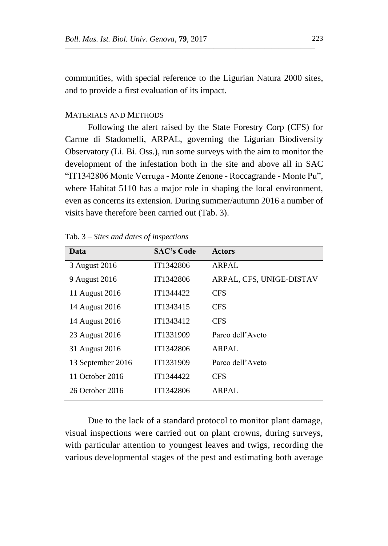communities, with special reference to the Ligurian Natura 2000 sites, and to provide a first evaluation of its impact.

 $\overline{\phantom{a}}$  , and the contract of the contract of  $\overline{\phantom{a}}$ 

# MATERIALS AND METHODS

Following the alert raised by the State Forestry Corp (CFS) for Carme di Stadomelli, ARPAL, governing the Ligurian Biodiversity Observatory (Li. Bi. Oss.), run some surveys with the aim to monitor the development of the infestation both in the site and above all in SAC "IT1342806 Monte Verruga - Monte Zenone - Roccagrande - Monte Pu", where Habitat 5110 has a major role in shaping the local environment, even as concerns its extension. During summer/autumn 2016 a number of visits have therefore been carried out (Tab. 3).

| Data              | <b>SAC's Code</b> | <b>Actors</b>            |
|-------------------|-------------------|--------------------------|
| 3 August 2016     | IT1342806         | <b>ARPAL</b>             |
| 9 August 2016     | IT1342806         | ARPAL, CFS, UNIGE-DISTAV |
| 11 August 2016    | IT1344422         | <b>CFS</b>               |
| 14 August 2016    | IT1343415         | <b>CFS</b>               |
| 14 August 2016    | IT1343412         | <b>CFS</b>               |
| 23 August 2016    | IT1331909         | Parco dell'Aveto         |
| 31 August 2016    | IT1342806         | ARPAL                    |
| 13 September 2016 | IT1331909         | Parco dell'Aveto         |
| 11 October 2016   | IT1344422         | <b>CFS</b>               |
| 26 October 2016   | IT1342806         | ARPAL                    |

Tab. 3 – *Sites and dates of inspections*

Due to the lack of a standard protocol to monitor plant damage, visual inspections were carried out on plant crowns, during surveys, with particular attention to youngest leaves and twigs, recording the various developmental stages of the pest and estimating both average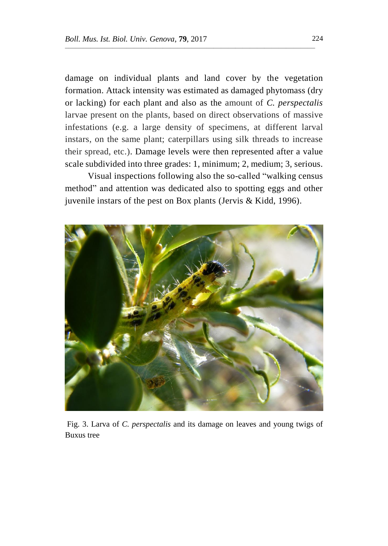damage on individual plants and land cover by the vegetation formation. Attack intensity was estimated as damaged phytomass (dry or lacking) for each plant and also as the amount of *C. perspectalis* larvae present on the plants, based on direct observations of massive infestations (e.g. a large density of specimens, at different larval instars, on the same plant; caterpillars using silk threads to increase their spread, etc.). Damage levels were then represented after a value scale subdivided into three grades: 1, minimum; 2, medium; 3, serious.

 $\overline{\phantom{a}}$  , and the contract of the contract of  $\overline{\phantom{a}}$ 

Visual inspections following also the so-called "walking census method" and attention was dedicated also to spotting eggs and other juvenile instars of the pest on Box plants (Jervis & Kidd, 1996).



Fig. 3. Larva of *C. perspectalis* and its damage on leaves and young twigs of Buxus tree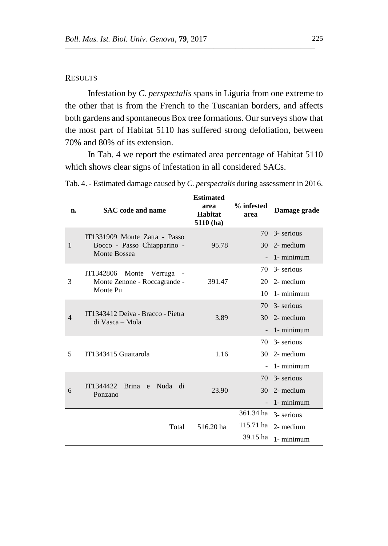# **RESULTS**

Infestation by *C. perspectalis* spans in Liguria from one extreme to the other that is from the French to the Tuscanian borders, and affects both gardens and spontaneous Box tree formations. Our surveys show that the most part of Habitat 5110 has suffered strong defoliation, between 70% and 80% of its extension.

 $\overline{\phantom{a}}$  , and the contract of the contract of  $\overline{\phantom{a}}$ 

In Tab. 4 we report the estimated area percentage of Habitat 5110 which shows clear signs of infestation in all considered SACs.

| n. | <b>SAC</b> code and name                                                     | <b>Estimated</b><br>area<br>Habitat<br>5110(ha) | % infested<br>area | Damage grade |
|----|------------------------------------------------------------------------------|-------------------------------------------------|--------------------|--------------|
| 1  | IT1331909 Monte Zatta - Passo<br>Bocco - Passo Chiapparino -<br>Monte Bossea | 95.78                                           | 70                 | 3- serious   |
|    |                                                                              |                                                 | 30                 | 2- medium    |
|    |                                                                              |                                                 |                    | 1- minimum   |
| 3  | IT1342806 Monte Verruga<br>Monte Zenone - Roccagrande -<br>Monte Pu          | 391.47                                          | 70                 | 3- serious   |
|    |                                                                              |                                                 | 20                 | 2- medium    |
|    |                                                                              |                                                 | 10                 | 1- minimum   |
| 4  | IT1343412 Deiva - Bracco - Pietra<br>di Vasca – Mola                         |                                                 | 70                 | 3- serious   |
|    |                                                                              | 3.89                                            | 30                 | 2- medium    |
|    |                                                                              |                                                 |                    | 1- minimum   |
| 5  | IT1343415 Guaitarola                                                         | 1.16                                            | 70                 | 3- serious   |
|    |                                                                              |                                                 | 30                 | 2- medium    |
|    |                                                                              |                                                 |                    | 1- minimum   |
| 6  | IT1344422<br><b>Brina</b><br>e Nuda di<br>Ponzano                            | 23.90                                           | 70                 | 3- serious   |
|    |                                                                              |                                                 | 30                 | 2- medium    |
|    |                                                                              |                                                 |                    | 1- minimum   |
|    |                                                                              |                                                 | 361.34 ha          | 3- serious   |
|    | Total                                                                        | 516.20 ha                                       | 115.71 ha          | 2- medium    |
|    |                                                                              |                                                 | 39.15 ha           | 1- minimum   |

Tab. 4. - Estimated damage caused by *C. perspectalis* during assessment in 2016.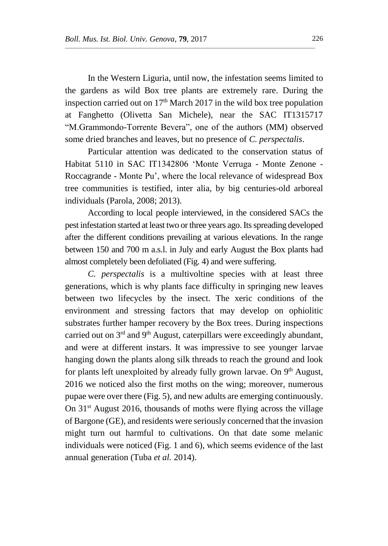In the Western Liguria, until now, the infestation seems limited to the gardens as wild Box tree plants are extremely rare. During the inspection carried out on  $17<sup>th</sup>$  March 2017 in the wild box tree population at Fanghetto (Olivetta San Michele), near the SAC IT1315717 "M.Grammondo-Torrente Bevera", one of the authors (MM) observed some dried branches and leaves, but no presence of *C. perspectalis*.

 $\overline{\phantom{a}}$  , and the contract of the contract of  $\overline{\phantom{a}}$ 

Particular attention was dedicated to the conservation status of Habitat 5110 in SAC IT1342806 'Monte Verruga - Monte Zenone - Roccagrande - Monte Pu', where the local relevance of widespread Box tree communities is testified, inter alia, by big centuries-old arboreal individuals (Parola, 2008; 2013).

According to local people interviewed, in the considered SACs the pest infestation started at least two or three years ago.Its spreading developed after the different conditions prevailing at various elevations. In the range between 150 and 700 m a.s.l. in July and early August the Box plants had almost completely been defoliated (Fig. 4) and were suffering.

*C. perspectalis* is a multivoltine species with at least three generations, which is why plants face difficulty in springing new leaves between two lifecycles by the insect. The xeric conditions of the environment and stressing factors that may develop on ophiolitic substrates further hamper recovery by the Box trees. During inspections carried out on  $3<sup>rd</sup>$  and  $9<sup>th</sup>$  August, caterpillars were exceedingly abundant, and were at different instars. It was impressive to see younger larvae hanging down the plants along silk threads to reach the ground and look for plants left unexploited by already fully grown larvae. On 9<sup>th</sup> August, 2016 we noticed also the first moths on the wing; moreover, numerous pupae were over there (Fig. 5), and new adults are emerging continuously. On  $31<sup>st</sup>$  August 2016, thousands of moths were flying across the village of Bargone (GE), and residents were seriously concerned that the invasion might turn out harmful to cultivations. On that date some melanic individuals were noticed (Fig. 1 and 6), which seems evidence of the last annual generation (Tuba *et al.* 2014).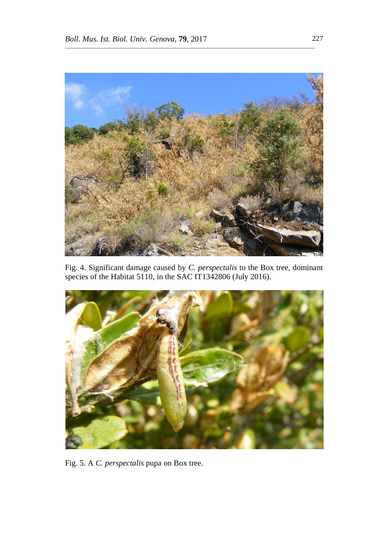

Fig. 4. Significant damage caused by *C. perspectalis* to the Box tree, dominant species of the Habitat 5110, in the SAC IT1342806 (July 2016).



Fig. 5. A *C. perspectalis* pupa on Box tree.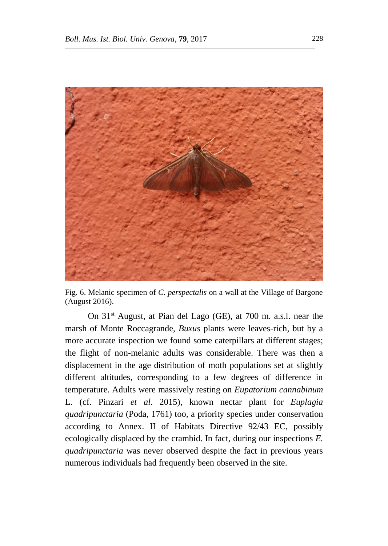

Fig. 6. Melanic specimen of *C. perspectalis* on a wall at the Village of Bargone (August 2016).

On 31st August, at Pian del Lago (GE), at 700 m. a.s.l. near the marsh of Monte Roccagrande, *Buxus* plants were leaves-rich, but by a more accurate inspection we found some caterpillars at different stages; the flight of non-melanic adults was considerable. There was then a displacement in the age distribution of moth populations set at slightly different altitudes, corresponding to a few degrees of difference in temperature. Adults were massively resting on *Eupatorium cannabinum*  L. (cf. Pinzari *et al*. 2015), known nectar plant for *Euplagia quadripunctaria* (Poda, 1761) too*,* a priority species under conservation according to Annex. II of Habitats Directive 92/43 EC, possibly ecologically displaced by the crambid. In fact, during our inspections *E. quadripunctaria* was never observed despite the fact in previous years numerous individuals had frequently been observed in the site.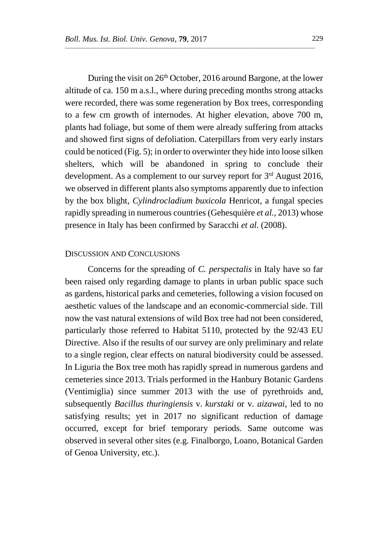During the visit on 26<sup>th</sup> October, 2016 around Bargone, at the lower altitude of ca. 150 m a.s.l., where during preceding months strong attacks were recorded, there was some regeneration by Box trees, corresponding to a few cm growth of internodes. At higher elevation, above 700 m, plants had foliage, but some of them were already suffering from attacks and showed first signs of defoliation. Caterpillars from very early instars could be noticed (Fig. 5); in order to overwinter they hide into loose silken shelters, which will be abandoned in spring to conclude their development. As a complement to our survey report for 3<sup>rd</sup> August 2016, we observed in different plants also symptoms apparently due to infection by the box blight, *Cylindrocladium buxicola* Henricot, a fungal species rapidly spreading in numerous countries (Gehesquière *et al.*, 2013) whose presence in Italy has been confirmed by Saracchi *et al.* (2008).

 $\overline{\phantom{a}}$  , and the contract of the contract of  $\overline{\phantom{a}}$ 

## DISCUSSION AND CONCLUSIONS

Concerns for the spreading of *C. perspectalis* in Italy have so far been raised only regarding damage to plants in urban public space such as gardens, historical parks and cemeteries, following a vision focused on aesthetic values of the landscape and an economic-commercial side. Till now the vast natural extensions of wild Box tree had not been considered, particularly those referred to Habitat 5110, protected by the 92/43 EU Directive. Also if the results of our survey are only preliminary and relate to a single region, clear effects on natural biodiversity could be assessed. In Liguria the Box tree moth has rapidly spread in numerous gardens and cemeteries since 2013. Trials performed in the Hanbury Botanic Gardens (Ventimiglia) since summer 2013 with the use of pyrethroids and, subsequently *Bacillus thuringiensis* v. *kurstaki* or v. *aizawai*, led to no satisfying results; yet in 2017 no significant reduction of damage occurred, except for brief temporary periods. Same outcome was observed in several other sites (e.g. Finalborgo, Loano, Botanical Garden of Genoa University, etc.).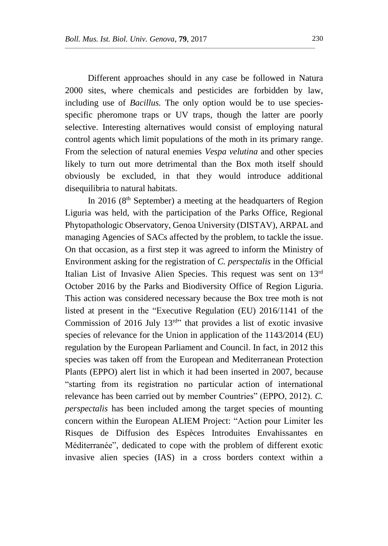Different approaches should in any case be followed in Natura 2000 sites, where chemicals and pesticides are forbidden by law, including use of *Bacillus.* The only option would be to use speciesspecific pheromone traps or UV traps, though the latter are poorly selective. Interesting alternatives would consist of employing natural control agents which limit populations of the moth in its primary range. From the selection of natural enemies *Vespa velutina* and other species likely to turn out more detrimental than the Box moth itself should obviously be excluded, in that they would introduce additional disequilibria to natural habitats.

 $\overline{\phantom{a}}$  , and the contract of the contract of  $\overline{\phantom{a}}$ 

In 2016 ( $8<sup>th</sup>$  September) a meeting at the headquarters of Region Liguria was held, with the participation of the Parks Office, Regional Phytopathologic Observatory, Genoa University (DISTAV), ARPAL and managing Agencies of SACs affected by the problem, to tackle the issue. On that occasion, as a first step it was agreed to inform the Ministry of Environment asking for the registration of *C. perspectalis* in the Official Italian List of Invasive Alien Species. This request was sent on 13rd October 2016 by the Parks and Biodiversity Office of Region Liguria. This action was considered necessary because the Box tree moth is not listed at present in the "Executive Regulation (EU) 2016/1141 of the Commission of 2016 July  $13<sup>rd</sup>$  that provides a list of exotic invasive species of relevance for the Union in application of the 1143/2014 (EU) regulation by the European Parliament and Council. In fact, in 2012 this species was taken off from the European and Mediterranean Protection Plants (EPPO) alert list in which it had been inserted in 2007, because "starting from its registration no particular action of international relevance has been carried out by member Countries" (EPPO, 2012). *C. perspectalis* has been included among the target species of mounting concern within the European ALIEM Project: "Action pour Limiter les Risques de Diffusion des Espèces Introduites Envahissantes en Méditerranée", dedicated to cope with the problem of different exotic invasive alien species (IAS) in a cross borders context within a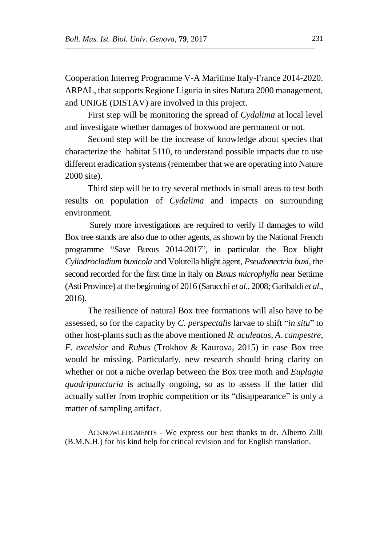Cooperation Interreg Programme V-A Maritime Italy-France 2014-2020. ARPAL, that supports Regione Liguria in sites Natura 2000 management, and UNIGE (DISTAV) are involved in this project.

 $\overline{\phantom{a}}$  , and the contract of the contract of  $\overline{\phantom{a}}$ 

First step will be monitoring the spread of *Cydalima* at local level and investigate whether damages of boxwood are permanent or not.

Second step will be the increase of knowledge about species that characterize the habitat 5110, to understand possible impacts due to use different eradication systems (remember that we are operating into Nature 2000 site).

Third step will be to try several methods in small areas to test both results on population of *Cydalima* and impacts on surrounding environment.

Surely more investigations are required to verify if damages to wild Box tree stands are also due to other agents, as shown by the National French programme "Save Buxus 2014-2017", in particular the Box blight *Cylindrocladium buxicola* and Volutella blight agent, *Pseudonectria buxi*, the second recorded for the first time in Italy on *Buxus microphylla* near Settime (Asti Province) at the beginning of 2016 (Saracchi *et al*., 2008; Garibaldi *et al*., 2016).

The resilience of natural Box tree formations will also have to be assessed, so for the capacity by *C. perspectalis* larvae to shift "*in situ*" to other host-plants such as the above mentioned *R. aculeatus*, *A. campestre*, *F. excelsior* and *Rubus* (Trokhov & Kaurova, 2015) in case Box tree would be missing. Particularly, new research should bring clarity on whether or not a niche overlap between the Box tree moth and *Euplagia quadripunctaria* is actually ongoing, so as to assess if the latter did actually suffer from trophic competition or its "disappearance" is only a matter of sampling artifact.

ACKNOWLEDGMENTS - We express our best thanks to dr. Alberto Zilli (B.M.N.H.) for his kind help for critical revision and for English translation.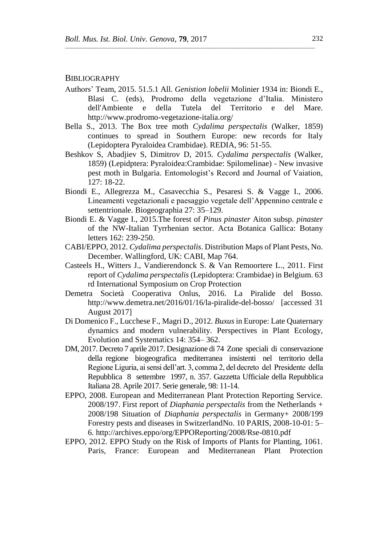#### BIBLIOGRAPHY

Authors' Team, 2015. 51.5.1 All. *Genistion lobelii* Molinier 1934 in: Biondi E., Blasi C. (eds), Prodromo della vegetazione d'Italia. Ministero dell'Ambiente e della Tutela del Territorio e del Mare. http://www.prodromo-vegetazione-italia.org/

- Bella S., 2013. The Box tree moth *Cydalima perspectalis* (Walker, 1859) continues to spread in Southern Europe: new records for Italy (Lepidoptera Pyraloidea Crambidae). REDIA, 96: 51-55.
- Beshkov S, Abadjiev S, Dimitrov D, 2015. *Cydalima perspectalis* (Walker, 1859) (Lepidptera: Pyraloidea:Crambidae: Spilomelinae) - New invasive pest moth in Bulgaria. Entomologist's Record and Journal of Vaiation, 127: 18-22.
- Biondi E., Allegrezza M., Casavecchia S., Pesaresi S. & Vagge I., 2006. Lineamenti vegetazionali e paesaggio vegetale dell'Appennino centrale e settentrionale. Biogeographia 27: 35–129.
- Biondi E. & Vagge I., 2015.The forest of *Pinus pinaster* Aiton subsp. *pinaster* of the NW-Italian Tyrrhenian sector. Acta Botanica Gallica: Botany letters 162: 239-250.
- CABI/EPPO, 2012. *Cydalima perspectalis*. Distribution Maps of Plant Pests, No. December. Wallingford, UK: CABI, Map 764.
- Casteels H., Witters J., Vandierendonck S. & Van Remoortere L., 2011. First report of *Cydalima perspectalis* (Lepidoptera: Crambidae) in Belgium. 63 rd International Symposium on Crop Protection
- Demetra Società Cooperativa Onlus, 2016. La Piralide del Bosso. http://www.demetra.net/2016/01/16/la-piralide-del-bosso/ [accessed 31 August 2017]
- Di Domenico F., Lucchese F., Magri D., 2012. *Buxus* in Europe: Late Quaternary dynamics and modern vulnerability. Perspectives in Plant Ecology, Evolution and Systematics 14: 354– 362.
- DM, 2017. Decreto 7 aprile 2017. Designazione di 74 Zone speciali di conservazione della regione biogeografica mediterranea insistenti nel territorio della Regione Liguria, ai sensi dell'art. 3, comma 2, del decreto del Presidente della Repubblica 8 settembre 1997, n. 357. Gazzetta Ufficiale della Repubblica Italiana 28. Aprile 2017. Serie generale, 98: 11-14.
- EPPO, 2008. European and Mediterranean Plant Protection Reporting Service. 2008/197. First report of *Diaphania perspectalis* from the Netherlands + 2008/198 Situation of *Diaphania perspectalis* in Germany+ 2008/199 Forestry pests and diseases in SwitzerlandNo. 10 PARIS, 2008-10-01: 5– 6. http://archives.eppo/org/EPPOReporting/2008/Rse-0810.pdf
- EPPO, 2012. EPPO Study on the Risk of Imports of Plants for Planting, 1061. Paris, France: European and Mediterranean Plant Protection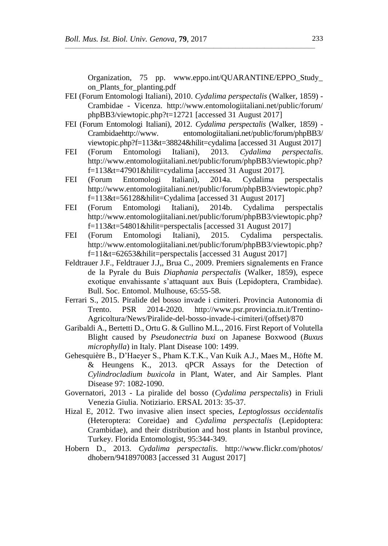Organization, 75 pp. www.eppo.int/QUARANTINE/EPPO\_Study\_ on Plants for planting.pdf

FEI (Forum Entomologi Italiani), 2010. *Cydalima perspectalis* (Walker, 1859) - Crambidae - Vicenza. http://www.entomologiitaliani.net/public/forum/ phpBB3/viewtopic.php?t=12721 [accessed 31 August 2017]

- FEI (Forum Entomologi Italiani), 2012. *Cydalima perspectalis* (Walker, 1859) Crambidaehttp://www. entomologiitaliani.net/public/forum/phpBB3/ viewtopic.php?f=113&t=38824&hilit=cydalima [accessed 31 August 2017]
- FEI (Forum Entomologi Italiani), 2013. *Cydalima perspectalis*. http://www.entomologiitaliani.net/public/forum/phpBB3/viewtopic.php? f=113&t=47901&hilit=cydalima [accessed 31 August 2017].
- FEI (Forum Entomologi Italiani), 2014a. Cydalima perspectalis [http://www.entomologiitaliani.net/public/f](http://www.entomologiitaliani.net/public/)orum/phpBB3/viewtopic.php? f=113&t=56128&hilit=Cydalima [accessed 31 August 2017]
- FEI (Forum Entomologi Italiani), 2014b. Cydalima perspectalis http://www.entomologiitaliani.net/public/forum/phpBB3/viewtopic.php? f=113&t=54801&hilit=perspectalis [accessed 31 August 2017]
- FEI (Forum Entomologi Italiani), 2015. Cydalima perspectalis. http://www.entomologiitaliani.net/public/forum/phpBB3/viewtopic.php? f=11&t=62653&hilit=perspectalis [accessed 31 August 2017]
- Feldtrauer J.F., Feldtrauer J.J,, Brua C., 2009. Premiers signalements en France de la Pyrale du Buis *Diaphania perspectalis* (Walker, 1859), espece exotique envahissante s'attaquant aux Buis (Lepidoptera, Crambidae). Bull. Soc. Entomol. Mulhouse, 65:55-58.
- Ferrari S., 2015. Piralide del bosso invade i cimiteri. Provincia Autonomia di Trento. PSR 2014-2020. http://www.psr.provincia.tn.it/Trentino-Agricoltura/News/Piralide-del-bosso-invade-i-cimiteri/(offset)/870
- Garibaldi A., Bertetti D., Ortu G. & Gullino M.L., 2016. First Report of Volutella Blight caused by *Pseudonectria buxi* on Japanese Boxwood (*Buxus microphylla*) in Italy. Plant Disease 100: 1499.
- Gehesquière B., D'Haeyer S., Pham K.T.K., Van Kuik A.J., Maes M., Höfte M. & Heungens K., 2013. qPCR Assays for the Detection of *Cylindrocladium buxicola* in Plant, Water, and Air Samples. Plant Disease 97: 1082-1090.
- Governatori, 2013 La piralide del bosso (*Cydalima perspectalis*) in Friuli Venezia Giulia. Notiziario. ERSAL 2013: 35-37.
- Hizal E, 2012. Two invasive alien insect species, *Leptoglossus occidentalis* (Heteroptera: Coreidae) and *Cydalima perspectalis* (Lepidoptera: Crambidae), and their distribution and host plants in Istanbul province, Turkey. Florida Entomologist, 95:344-349.
- Hobern D., 2013. *Cydalima perspectalis*. http://www.flickr.com/photos/ dhobern/9418970083 [accessed 31 August 2017]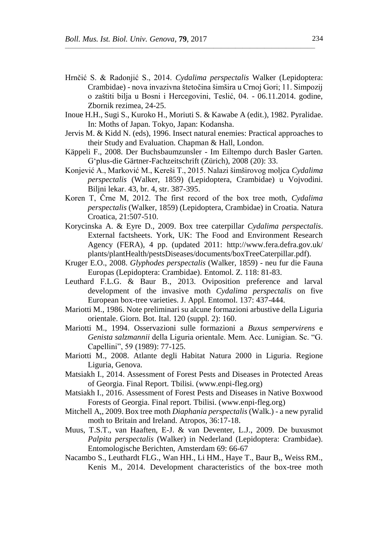Hrnčić S. & Radonjić S., 2014. *Cydalima perspectalis* Walker (Lepidoptera: Crambidae) - nova invazivna štetočina šimšira u Crnoj Gori; 11. Simpozij o zaštiti bilja u Bosni i Hercegovini, Teslić, 04. - 06.11.2014. godine, Zbornik rezimea, 24-25.

- Inoue H.H., Sugi S., Kuroko H., Moriuti S. & Kawabe A (edit.), 1982. Pyralidae. In: Moths of Japan. Tokyo, Japan: Kodansha.
- Jervis M. & Kidd N. (eds), 1996. Insect natural enemies: Practical approaches to their Study and Evaluation. Chapman & Hall, London.
- Käppeli F., 2008. Der Buchsbaumzunsler Im Eiltempo durch Basler Garten. G'plus-die Gärtner-Fachzeitschrift (Zürich), 2008 (20): 33.
- Konjević A., Marković M., Kereši T., 2015. Nalazi šimširovog moljca *Cydalima perspectalis* (Walker, 1859) (Lepidoptera, Crambidae) u Vojvodini. Biljni lekar. 43, br. 4, str. 387-395.
- Koren T, Črne M, 2012. The first record of the box tree moth, *Cydalima perspectalis* (Walker, 1859) (Lepidoptera, Crambidae) in Croatia. Natura Croatica, 21:507-510.
- Korycinska A. & Eyre D., 2009. Box tree caterpillar *Cydalima perspectalis*. External factsheets. York, UK: The Food and Environment Research Agency (FERA), 4 pp. (updated 2011: http://www.fera.defra.gov.uk/ plants/plantHealth/pestsDiseases/documents/boxTreeCaterpillar.pdf).
- Kruger E.O., 2008. *Glyphodes perspectalis* (Walker, 1859) neu fur die Fauna Europas (Lepidoptera: Crambidae). Entomol. Z. 118: 81-83.
- Leuthard F.L.G. & Baur B., 2013. Oviposition preference and larval development of the invasive moth *Cydalima perspectalis* on five European box-tree varieties. J. Appl. Entomol. 137: 437-444.
- Mariotti M., 1986. Note preliminari su alcune formazioni arbustive della Liguria orientale. Giorn. Bot. Ital. 120 (suppl. 2): 160.
- Mariotti M., 1994. Osservazioni sulle formazioni a *Buxus sempervirens* e *Genista salzmannii* della Liguria orientale. Mem. Acc. Lunigian. Sc. "G. Capellini", 59 (1989): 77-125.
- Mariotti M., 2008. Atlante degli Habitat Natura 2000 in Liguria. Regione Liguria, Genova.
- Matsiakh I., 2014. Assessment of Forest Pests and Diseases in Protected Areas of Georgia. Final Report. Tbilisi. (www.enpi-fleg.org)
- Matsiakh I., 2016. Assessment of Forest Pests and Diseases in Native Boxwood Forests of Georgia. Final report. Tbilisi. (www.enpi-fleg.org)
- Mitchell A,, 2009. Box tree moth *Diaphania perspectalis* (Walk.) a new pyralid moth to Britain and Ireland. Atropos, 36:17-18.
- Muus, T.S.T., van Haaften, E-J. & van Deventer, L.J., 2009. De buxusmot *Palpita perspectalis* (Walker) in Nederland (Lepidoptera: Crambidae). Entomologische Berichten, Amsterdam 69: 66-67
- Nacambo S., Leuthardt FLG., Wan HH., Li HM., Haye T., Baur B,, Weiss RM., Kenis M., 2014. Development characteristics of the box-tree moth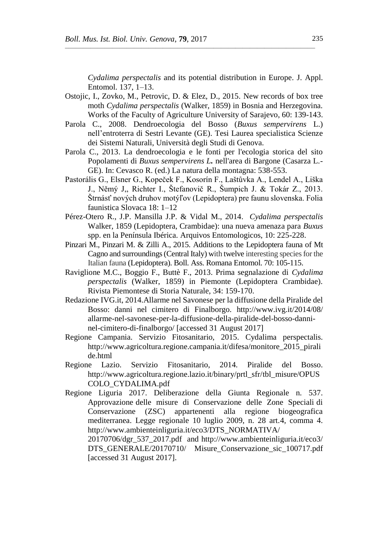*Cydalima perspectalis* and its potential distribution in Europe. J. Appl. Entomol. 137, 1–13.

Ostojic, I., Zovko, M., Petrovic, D. & Elez, D., 2015. New records of box tree moth *Cydalima perspectalis* (Walker, 1859) in Bosnia and Herzegovina. Works of the Faculty of Agriculture University of Sarajevo, 60: 139-143.

- Parola C., 2008. Dendroecologia del Bosso (*Buxus sempervirens* L.) nell'entroterra di Sestri Levante (GE). Tesi Laurea specialistica Scienze dei Sistemi Naturali, Università degli Studi di Genova.
- Parola C., 2013. La dendroecologia e le fonti per l'ecologia storica del sito Popolamenti di *Buxus sempervirens L.* nell'area di Bargone (Casarza L.- GE). In: Cevasco R. (ed.) La natura della montagna: 538-553.
- Pastorális G., Elsner G., Kopeček F., Kosorín F., Laštůvka A., Lendel A., Liška J., Němý J,, Richter I., Štefanovič R., Šumpich J. & Tokár Z., 2013. Štrnásť nových druhov motýľov (Lepidoptera) pre faunu slovenska. Folia faunistica Slovaca 18: 1–12
- Pérez-Otero R., J.P. Mansilla J.P. & Vidal M., 2014. *Cydalima perspectalis*  Walker, 1859 (Lepidoptera, Crambidae): una nueva amenaza para *Buxus*  spp. en la Península Ibérica. Arquivos Entomologicos, 10: 225-228.
- Pinzari M., Pinzari M. & Zilli A., 2015. Additions to the Lepidoptera fauna of Mt Cagno and surroundings (Central Italy) with twelve interesting species for the Italian fauna (Lepidoptera). Boll. Ass. Romana Entomol. 70: 105-115.
- Raviglione M.C., Boggio F., Buttè F., 2013. Prima segnalazione di *Cydalima perspectalis* (Walker, 1859) in Piemonte (Lepidoptera Crambidae). Rivista Piemontese di Storia Naturale, 34: 159-170.
- Redazione IVG.it, 2014.Allarme nel Savonese per la diffusione della Piralide del Bosso: danni nel cimitero di Finalborgo. http://www.ivg.it/2014/08/ allarme-nel-savonese-per-la-diffusione-della-piralide-del-bosso-danninel-cimitero-di-finalborgo/ [accessed 31 August 2017]
- Regione Campania. Servizio Fitosanitario, 2015. Cydalima perspectalis. http://www.agricoltura.regione.campania.it/difesa/monitore\_2015\_pirali de.html
- Regione Lazio. Servizio Fitosanitario, 2014. Piralide del Bosso. http://www.agricoltura.regione.lazio.it/binary/prtl\_sfr/tbl\_misure/OPUS COLO\_CYDALIMA.pdf
- Regione Liguria 2017. Deliberazione della Giunta Regionale n. 537. Approvazione delle misure di Conservazione delle Zone Speciali di Conservazione (ZSC) appartenenti alla regione biogeografica mediterranea. Legge regionale 10 luglio 2009, n. 28 art.4, comma 4. http://www.ambienteinliguria.it/eco3/DTS\_NORMATIVA/ 20170706/dgr\_537\_2017.pdf and http://www.ambienteinliguria.it/eco3/
	- DTS\_GENERALE/20170710/ Misure\_Conservazione\_sic\_100717.pdf [accessed 31 August 2017].